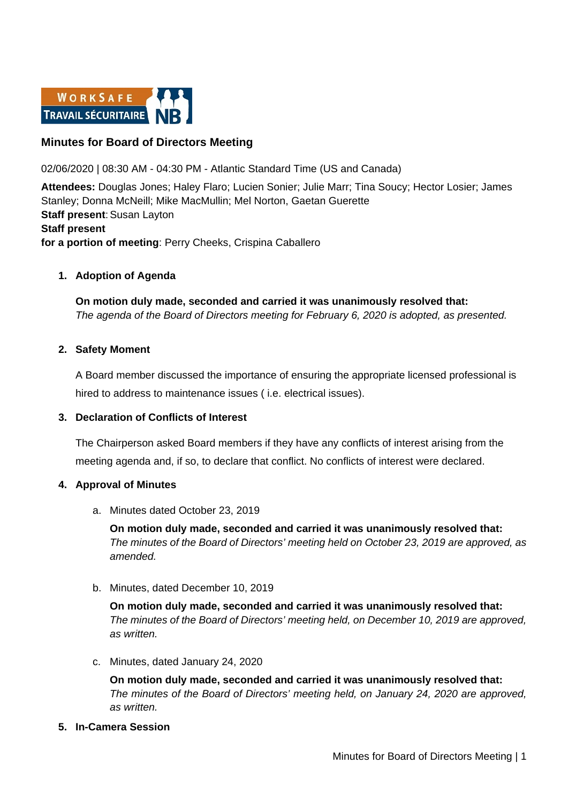

## **Minutes for Board of Directors Meeting**

02/06/2020 | 08:30 AM - 04:30 PM - Atlantic Standard Time (US and Canada)

**Attendees:** Douglas Jones; Haley Flaro; Lucien Sonier; Julie Marr; Tina Soucy; Hector Losier; James Stanley; Donna McNeill; Mike MacMullin; Mel Norton, Gaetan Guerette **Staff present: Susan Layton Staff present for a portion of meeting**: Perry Cheeks, Crispina Caballero

### **1. Adoption of Agenda**

**On motion duly made, seconded and carried it was unanimously resolved that:** *The agenda of the Board of Directors meeting for February 6, 2020 is adopted, as presented.*

#### **2. Safety Moment**

A Board member discussed the importance of ensuring the appropriate licensed professional is hired to address to maintenance issues ( i.e. electrical issues).

### **3. Declaration of Conflicts of Interest**

The Chairperson asked Board members if they have any conflicts of interest arising from the meeting agenda and, if so, to declare that conflict. No conflicts of interest were declared.

#### **4. Approval of Minutes**

a. Minutes dated October 23, 2019

**On motion duly made, seconded and carried it was unanimously resolved that:** *The minutes of the Board of Directors' meeting held on October 23, 2019 are approved, as amended.*

b. Minutes, dated December 10, 2019

**On motion duly made, seconded and carried it was unanimously resolved that:** *The minutes of the Board of Directors' meeting held, on December 10, 2019 are approved, as written.*

c. Minutes, dated January 24, 2020

**On motion duly made, seconded and carried it was unanimously resolved that:** *The minutes of the Board of Directors' meeting held, on January 24, 2020 are approved, as written.*

**5. In-Camera Session**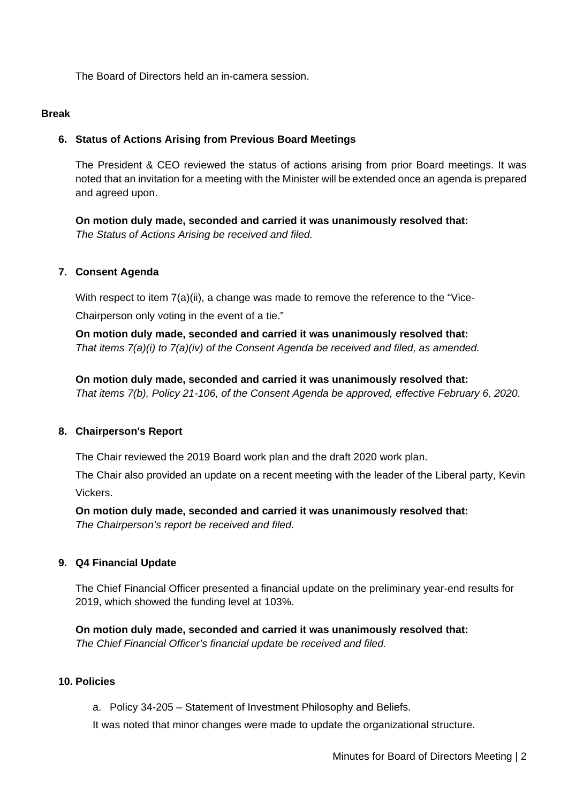The Board of Directors held an in-camera session.

#### **Break**

## **6. Status of Actions Arising from Previous Board Meetings**

The President & CEO reviewed the status of actions arising from prior Board meetings. It was noted that an invitation for a meeting with the Minister will be extended once an agenda is prepared and agreed upon.

**On motion duly made, seconded and carried it was unanimously resolved that:** *The Status of Actions Arising be received and filed.*

### **7. Consent Agenda**

With respect to item 7(a)(ii), a change was made to remove the reference to the "Vice-Chairperson only voting in the event of a tie."

**On motion duly made, seconded and carried it was unanimously resolved that:** *That items 7(a)(i) to 7(a)(iv) of the Consent Agenda be received and filed, as amended.*

**On motion duly made, seconded and carried it was unanimously resolved that:** *That items 7(b), Policy 21-106, of the Consent Agenda be approved, effective February 6, 2020.*

### **8. Chairperson's Report**

The Chair reviewed the 2019 Board work plan and the draft 2020 work plan.

The Chair also provided an update on a recent meeting with the leader of the Liberal party, Kevin Vickers.

**On motion duly made, seconded and carried it was unanimously resolved that:** *The Chairperson's report be received and filed.*

### **9. Q4 Financial Update**

The Chief Financial Officer presented a financial update on the preliminary year-end results for 2019, which showed the funding level at 103%.

**On motion duly made, seconded and carried it was unanimously resolved that:** *The Chief Financial Officer's financial update be received and filed.*

### **10. Policies**

a. Policy 34-205 – Statement of Investment Philosophy and Beliefs.

It was noted that minor changes were made to update the organizational structure.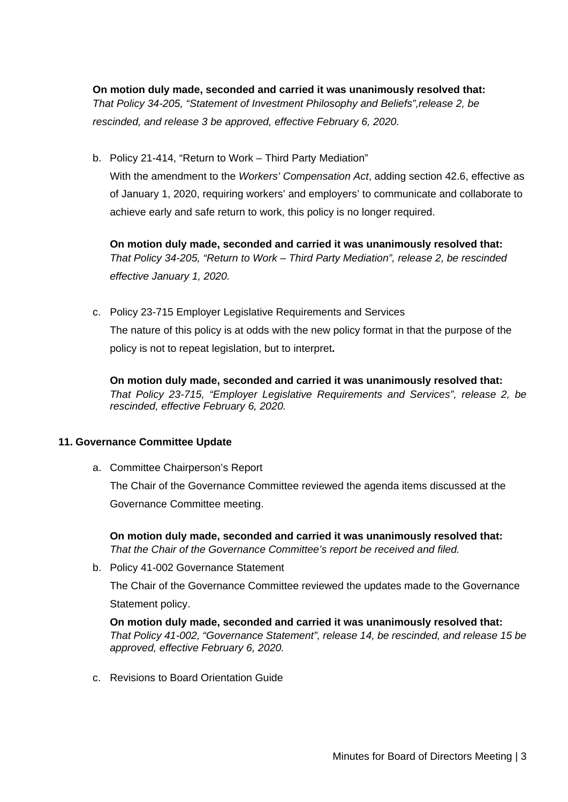**On motion duly made, seconded and carried it was unanimously resolved that:** *That Policy 34-205, "Statement of Investment Philosophy and Beliefs",release 2, be*  rescinded, and release 3 be approved, effective February 6, 2020.

b. Policy 21-414, "Return to Work – Third Party Mediation"

With the amendment to the *Workers' Compensation Act*, adding section 42.6, effective as of January 1, 2020, requiring workers' and employers' to communicate and collaborate to achieve early and safe return to work, this policy is no longer required.

**On motion duly made, seconded and carried it was unanimously resolved that:** *That Policy 34-205, "Return to Work – Third Party Mediation", release 2, be rescinded effective January 1, 2020.* 

c. Policy 23-715 Employer Legislative Requirements and Services The nature of this policy is at odds with the new policy format in that the purpose of the policy is not to repeat legislation, but to interpret**.**

**On motion duly made, seconded and carried it was unanimously resolved that:** *That Policy 23-715, "Employer Legislative Requirements and Services", release 2, be rescinded, effective February 6, 2020.*

## **11. Governance Committee Update**

a. Committee Chairperson's Report

The Chair of the Governance Committee reviewed the agenda items discussed at the Governance Committee meeting.

**On motion duly made, seconded and carried it was unanimously resolved that:** *That the Chair of the Governance Committee's report be received and filed.* 

b. Policy 41-002 Governance Statement

The Chair of the Governance Committee reviewed the updates made to the Governance Statement policy.

**On motion duly made, seconded and carried it was unanimously resolved that:** *That Policy 41-002, "Governance Statement", release 14, be rescinded, and release 15 be approved, effective February 6, 2020.*

c. Revisions to Board Orientation Guide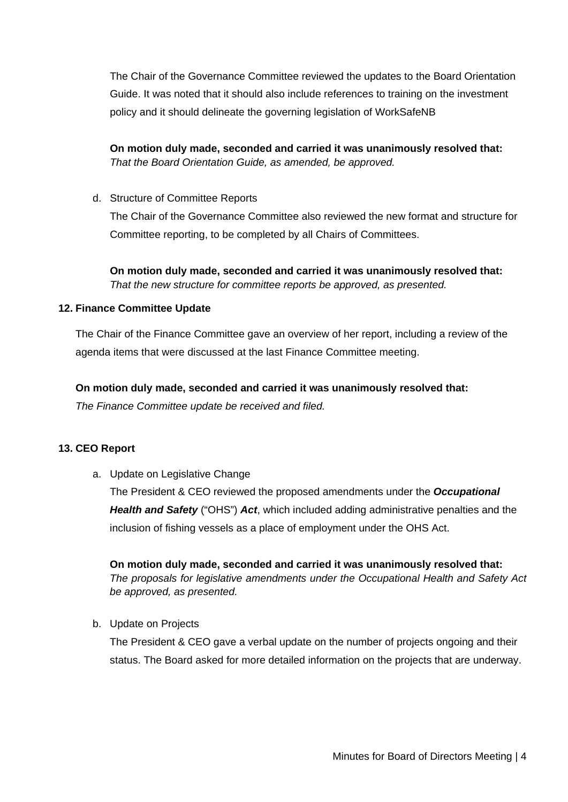The Chair of the Governance Committee reviewed the updates to the Board Orientation Guide. It was noted that it should also include references to training on the investment policy and it should delineate the governing legislation of WorkSafeNB

**On motion duly made, seconded and carried it was unanimously resolved that:** *That the Board Orientation Guide, as amended, be approved.* 

d. Structure of Committee Reports

The Chair of the Governance Committee also reviewed the new format and structure for Committee reporting, to be completed by all Chairs of Committees.

**On motion duly made, seconded and carried it was unanimously resolved that:** *That the new structure for committee reports be approved, as presented.* 

## **12. Finance Committee Update**

The Chair of the Finance Committee gave an overview of her report, including a review of the agenda items that were discussed at the last Finance Committee meeting.

### **On motion duly made, seconded and carried it was unanimously resolved that:**

*The Finance Committee update be received and filed.* 

## **13. CEO Report**

a. Update on Legislative Change

The President & CEO reviewed the proposed amendments under the *Occupational Health and Safety* ("OHS") *Act*, which included adding administrative penalties and the inclusion of fishing vessels as a place of employment under the OHS Act.

**On motion duly made, seconded and carried it was unanimously resolved that:** *The proposals for legislative amendments under the Occupational Health and Safety Act be approved, as presented.* 

b. Update on Projects

The President & CEO gave a verbal update on the number of projects ongoing and their status. The Board asked for more detailed information on the projects that are underway.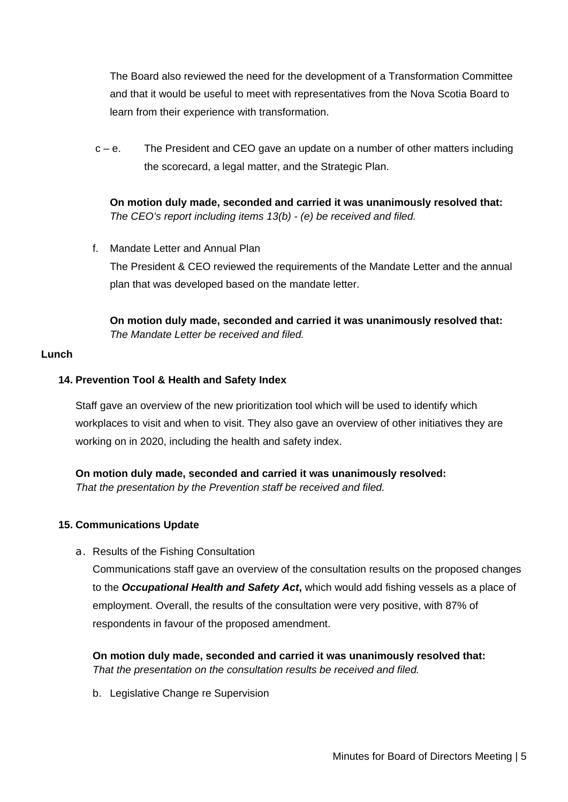The Board also reviewed the need for the development of a Transformation Committee and that it would be useful to meet with representatives from the Nova Scotia Board to learn from their experience with transformation.

 $c - e$ . The President and CEO gave an update on a number of other matters including the scorecard, a legal matter, and the Strategic Plan.

**On motion duly made, seconded and carried it was unanimously resolved that:** *The CEO's report including items 13(b) - (e) be received and filed.*

f. Mandate Letter and Annual Plan The President & CEO reviewed the requirements of the Mandate Letter and the annual plan that was developed based on the mandate letter.

**On motion duly made, seconded and carried it was unanimously resolved that:** *The Mandate Letter be received and filed.*

### **Lunch**

## **14. Prevention Tool & Health and Safety Index**

Staff gave an overview of the new prioritization tool which will be used to identify which workplaces to visit and when to visit. They also gave an overview of other initiatives they are working on in 2020, including the health and safety index.

## **On motion duly made, seconded and carried it was unanimously resolved:**

*That the presentation by the Prevention staff be received and filed.* 

## **15. Communications Update**

a. Results of the Fishing Consultation

Communications staff gave an overview of the consultation results on the proposed changes to the *Occupational Health and Safety Act***,** which would add fishing vessels as a place of employment. Overall, the results of the consultation were very positive, with 87% of respondents in favour of the proposed amendment.

**On motion duly made, seconded and carried it was unanimously resolved that:** *That the presentation on the consultation results be received and filed.*

b. Legislative Change re Supervision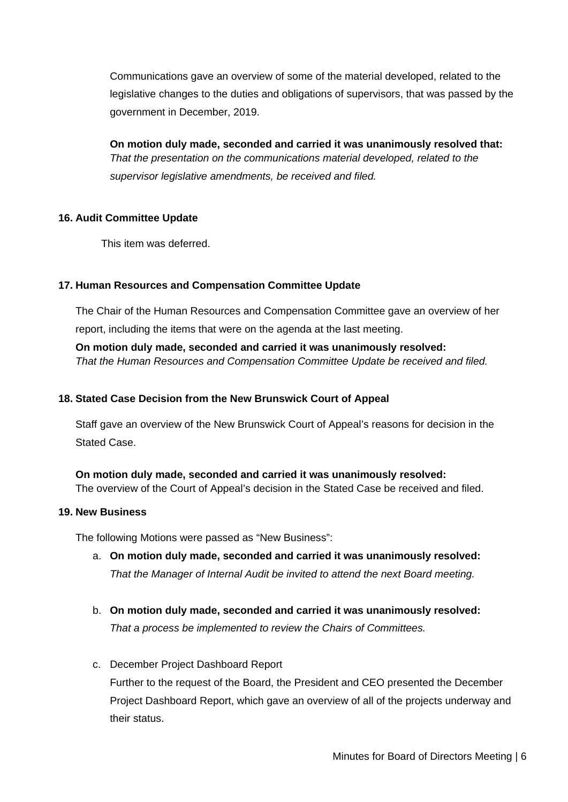Communications gave an overview of some of the material developed, related to the legislative changes to the duties and obligations of supervisors, that was passed by the government in December, 2019.

**On motion duly made, seconded and carried it was unanimously resolved that:** *That the presentation on the communications material developed, related to the supervisor legislative amendments, be received and filed.*

### **16. Audit Committee Update**

This item was deferred.

## **17. Human Resources and Compensation Committee Update**

The Chair of the Human Resources and Compensation Committee gave an overview of her report, including the items that were on the agenda at the last meeting.

**On motion duly made, seconded and carried it was unanimously resolved:** *That the Human Resources and Compensation Committee Update be received and filed.* 

## **18. Stated Case Decision from the New Brunswick Court of Appeal**

Staff gave an overview of the New Brunswick Court of Appeal's reasons for decision in the Stated Case.

# **On motion duly made, seconded and carried it was unanimously resolved:**

The overview of the Court of Appeal's decision in the Stated Case be received and filed.

### **19. New Business**

The following Motions were passed as "New Business":

- a. **On motion duly made, seconded and carried it was unanimously resolved:** *That the Manager of Internal Audit be invited to attend the next Board meeting.*
- b. **On motion duly made, seconded and carried it was unanimously resolved:** *That a process be implemented to review the Chairs of Committees.*
- c. December Project Dashboard Report

Further to the request of the Board, the President and CEO presented the December Project Dashboard Report, which gave an overview of all of the projects underway and their status.